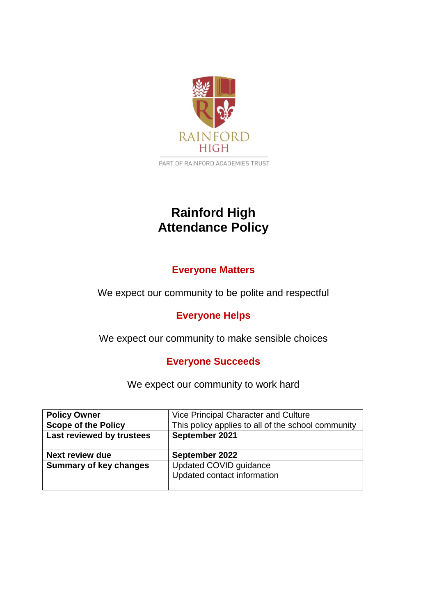

PART OF RAINFORD ACADEMIES TRUST

# **Rainford High Attendance Policy**

# **Everyone Matters**

We expect our community to be polite and respectful

# **Everyone Helps**

We expect our community to make sensible choices

# **Everyone Succeeds**

We expect our community to work hard

| <b>Policy Owner</b>           | Vice Principal Character and Culture               |  |
|-------------------------------|----------------------------------------------------|--|
| <b>Scope of the Policy</b>    | This policy applies to all of the school community |  |
| Last reviewed by trustees     | September 2021                                     |  |
|                               |                                                    |  |
|                               |                                                    |  |
| <b>Next review due</b>        | September 2022                                     |  |
| <b>Summary of key changes</b> | Updated COVID guidance                             |  |
|                               | Updated contact information                        |  |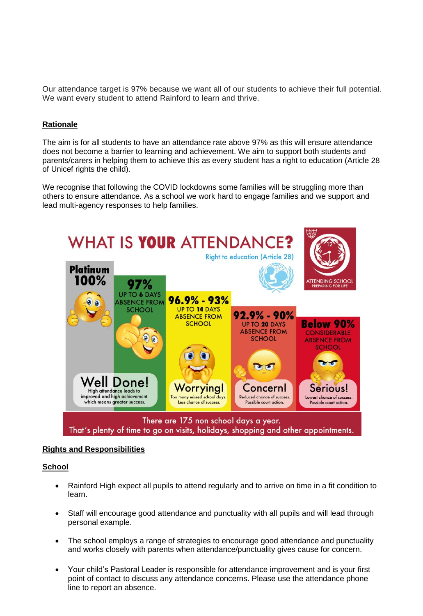Our attendance target is 97% because we want all of our students to achieve their full potential. We want every student to attend Rainford to learn and thrive.

# **Rationale**

The aim is for all students to have an attendance rate above 97% as this will ensure attendance does not become a barrier to learning and achievement. We aim to support both students and parents/carers in helping them to achieve this as every student has a right to education (Article 28 of Unicef rights the child).

We recognise that following the COVID lockdowns some families will be struggling more than others to ensure attendance. As a school we work hard to engage families and we support and lead multi-agency responses to help families.



#### **Rights and Responsibilities**

# **School**

- Rainford High expect all pupils to attend regularly and to arrive on time in a fit condition to learn.
- Staff will encourage good attendance and punctuality with all pupils and will lead through personal example.
- The school employs a range of strategies to encourage good attendance and punctuality and works closely with parents when attendance/punctuality gives cause for concern.
- Your child's Pastoral Leader is responsible for attendance improvement and is your first point of contact to discuss any attendance concerns. Please use the attendance phone line to report an absence.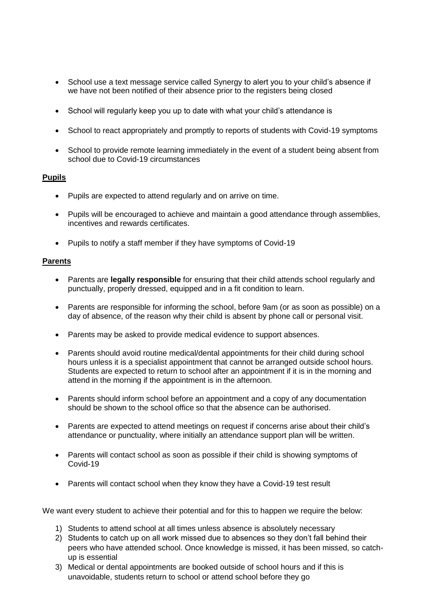- School use a text message service called Synergy to alert you to your child's absence if we have not been notified of their absence prior to the registers being closed
- School will regularly keep you up to date with what your child's attendance is
- School to react appropriately and promptly to reports of students with Covid-19 symptoms
- School to provide remote learning immediately in the event of a student being absent from school due to Covid-19 circumstances

# **Pupils**

- Pupils are expected to attend regularly and on arrive on time.
- Pupils will be encouraged to achieve and maintain a good attendance through assemblies, incentives and rewards certificates.
- Pupils to notify a staff member if they have symptoms of Covid-19

# **Parents**

- Parents are **legally responsible** for ensuring that their child attends school regularly and punctually, properly dressed, equipped and in a fit condition to learn.
- Parents are responsible for informing the school, before 9am (or as soon as possible) on a day of absence, of the reason why their child is absent by phone call or personal visit.
- Parents may be asked to provide medical evidence to support absences.
- Parents should avoid routine medical/dental appointments for their child during school hours unless it is a specialist appointment that cannot be arranged outside school hours. Students are expected to return to school after an appointment if it is in the morning and attend in the morning if the appointment is in the afternoon.
- Parents should inform school before an appointment and a copy of any documentation should be shown to the school office so that the absence can be authorised.
- Parents are expected to attend meetings on request if concerns arise about their child's attendance or punctuality, where initially an attendance support plan will be written.
- Parents will contact school as soon as possible if their child is showing symptoms of Covid-19
- Parents will contact school when they know they have a Covid-19 test result

We want every student to achieve their potential and for this to happen we require the below:

- 1) Students to attend school at all times unless absence is absolutely necessary
- 2) Students to catch up on all work missed due to absences so they don't fall behind their peers who have attended school. Once knowledge is missed, it has been missed, so catchup is essential
- 3) Medical or dental appointments are booked outside of school hours and if this is unavoidable, students return to school or attend school before they go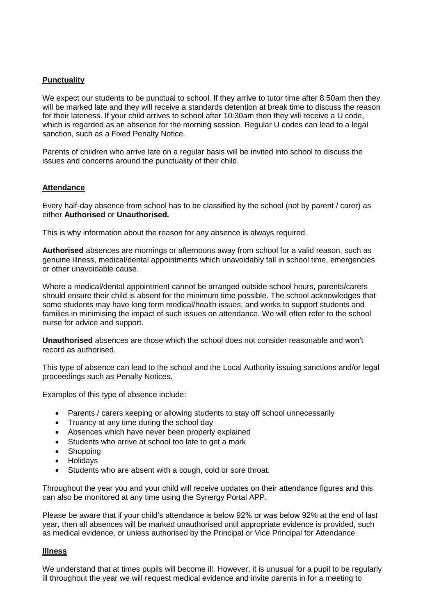# **Punctuality**

We expect our students to be punctual to school. If they arrive to tutor time after 8:50am then they will be marked late and they will receive a standards detention at break time to discuss the reason for their lateness. If your child arrives to school after 10:30am then they will receive a U code, which is regarded as an absence for the morning session. Regular U codes can lead to a legal sanction, such as a Fixed Penalty Notice.

Parents of children who arrive late on a regular basis will be invited into school to discuss the issues and concerns around the punctuality of their child.

# **Attendance**

Every half-day absence from school has to be classified by the school (not by parent / carer) as either **Authorised** or **Unauthorised.**

This is why information about the reason for any absence is always required.

**Authorised** absences are mornings or afternoons away from school for a valid reason, such as genuine illness, medical/dental appointments which unavoidably fall in school time, emergencies or other unavoidable cause.

Where a medical/dental appointment cannot be arranged outside school hours, parents/carers should ensure their child is absent for the minimum time possible. The school acknowledges that some students may have long term medical/health issues, and works to support students and families in minimising the impact of such issues on attendance. We will often refer to the school nurse for advice and support.

**Unauthorised** absences are those which the school does not consider reasonable and won't record as authorised.

This type of absence can lead to the school and the Local Authority issuing sanctions and/or legal proceedings such as Penalty Notices.

Examples of this type of absence include:

- Parents / carers keeping or allowing students to stay off school unnecessarily
- Truancy at any time during the school day
- Absences which have never been properly explained
- Students who arrive at school too late to get a mark
- Shopping
- Holidays
- Students who are absent with a cough, cold or sore throat.

Throughout the year you and your child will receive updates on their attendance figures and this can also be monitored at any time using the Synergy Portal APP.

Please be aware that if your child's attendance is below 92% or was below 92% at the end of last year, then all absences will be marked unauthorised until appropriate evidence is provided, such as medical evidence, or unless authorised by the Principal or Vice Principal for Attendance.

# **Illness**

We understand that at times pupils will become ill. However, it is unusual for a pupil to be regularly ill throughout the year we will request medical evidence and invite parents in for a meeting to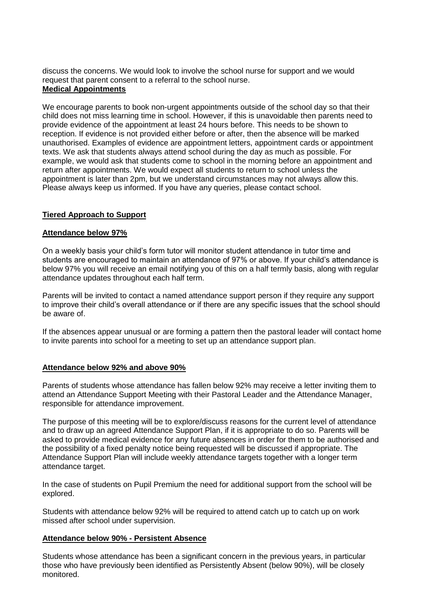discuss the concerns. We would look to involve the school nurse for support and we would request that parent consent to a referral to the school nurse. **Medical Appointments**

We encourage parents to book non-urgent appointments outside of the school day so that their child does not miss learning time in school. However, if this is unavoidable then parents need to provide evidence of the appointment at least 24 hours before. This needs to be shown to reception. If evidence is not provided either before or after, then the absence will be marked unauthorised. Examples of evidence are appointment letters, appointment cards or appointment texts. We ask that students always attend school during the day as much as possible. For example, we would ask that students come to school in the morning before an appointment and return after appointments. We would expect all students to return to school unless the appointment is later than 2pm, but we understand circumstances may not always allow this. Please always keep us informed. If you have any queries, please contact school.

# **Tiered Approach to Support**

#### **Attendance below 97%**

On a weekly basis your child's form tutor will monitor student attendance in tutor time and students are encouraged to maintain an attendance of 97% or above. If your child's attendance is below 97% you will receive an email notifying you of this on a half termly basis, along with regular attendance updates throughout each half term.

Parents will be invited to contact a named attendance support person if they require any support to improve their child's overall attendance or if there are any specific issues that the school should be aware of.

If the absences appear unusual or are forming a pattern then the pastoral leader will contact home to invite parents into school for a meeting to set up an attendance support plan.

#### **Attendance below 92% and above 90%**

Parents of students whose attendance has fallen below 92% may receive a letter inviting them to attend an Attendance Support Meeting with their Pastoral Leader and the Attendance Manager, responsible for attendance improvement.

The purpose of this meeting will be to explore/discuss reasons for the current level of attendance and to draw up an agreed Attendance Support Plan, if it is appropriate to do so. Parents will be asked to provide medical evidence for any future absences in order for them to be authorised and the possibility of a fixed penalty notice being requested will be discussed if appropriate. The Attendance Support Plan will include weekly attendance targets together with a longer term attendance target.

In the case of students on Pupil Premium the need for additional support from the school will be explored.

Students with attendance below 92% will be required to attend catch up to catch up on work missed after school under supervision.

#### **Attendance below 90% - Persistent Absence**

Students whose attendance has been a significant concern in the previous years, in particular those who have previously been identified as Persistently Absent (below 90%), will be closely monitored.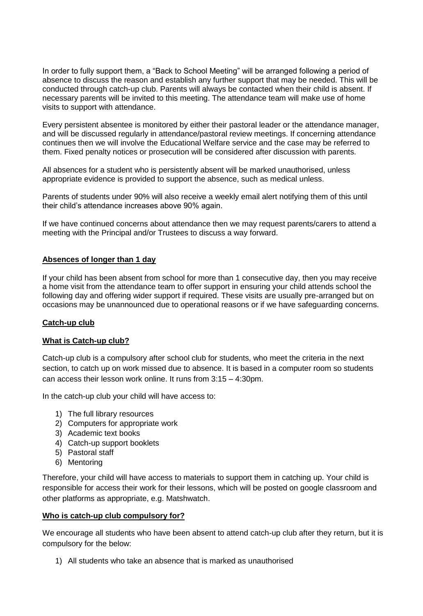In order to fully support them, a "Back to School Meeting" will be arranged following a period of absence to discuss the reason and establish any further support that may be needed. This will be conducted through catch-up club. Parents will always be contacted when their child is absent. If necessary parents will be invited to this meeting. The attendance team will make use of home visits to support with attendance.

Every persistent absentee is monitored by either their pastoral leader or the attendance manager, and will be discussed regularly in attendance/pastoral review meetings. If concerning attendance continues then we will involve the Educational Welfare service and the case may be referred to them. Fixed penalty notices or prosecution will be considered after discussion with parents.

All absences for a student who is persistently absent will be marked unauthorised, unless appropriate evidence is provided to support the absence, such as medical unless.

Parents of students under 90% will also receive a weekly email alert notifying them of this until their child's attendance increases above 90% again.

If we have continued concerns about attendance then we may request parents/carers to attend a meeting with the Principal and/or Trustees to discuss a way forward.

# **Absences of longer than 1 day**

If your child has been absent from school for more than 1 consecutive day, then you may receive a home visit from the attendance team to offer support in ensuring your child attends school the following day and offering wider support if required. These visits are usually pre-arranged but on occasions may be unannounced due to operational reasons or if we have safeguarding concerns.

# **Catch-up club**

#### **What is Catch-up club?**

Catch-up club is a compulsory after school club for students, who meet the criteria in the next section, to catch up on work missed due to absence. It is based in a computer room so students can access their lesson work online. It runs from 3:15 – 4:30pm.

In the catch-up club your child will have access to:

- 1) The full library resources
- 2) Computers for appropriate work
- 3) Academic text books
- 4) Catch-up support booklets
- 5) Pastoral staff
- 6) Mentoring

Therefore, your child will have access to materials to support them in catching up. Your child is responsible for access their work for their lessons, which will be posted on google classroom and other platforms as appropriate, e.g. Matshwatch.

#### **Who is catch-up club compulsory for?**

We encourage all students who have been absent to attend catch-up club after they return, but it is compulsory for the below:

1) All students who take an absence that is marked as unauthorised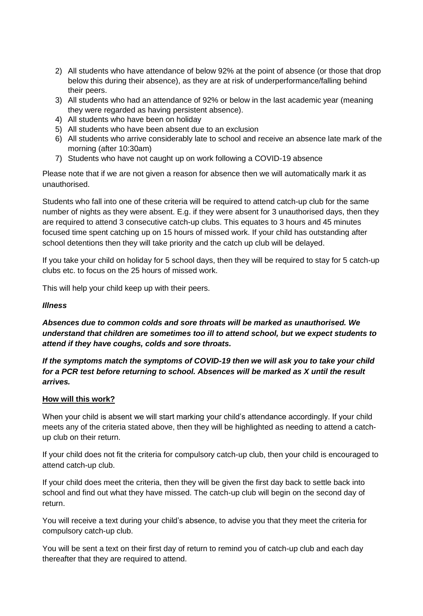- 2) All students who have attendance of below 92% at the point of absence (or those that drop below this during their absence), as they are at risk of underperformance/falling behind their peers.
- 3) All students who had an attendance of 92% or below in the last academic year (meaning they were regarded as having persistent absence).
- 4) All students who have been on holiday
- 5) All students who have been absent due to an exclusion
- 6) All students who arrive considerably late to school and receive an absence late mark of the morning (after 10:30am)
- 7) Students who have not caught up on work following a COVID-19 absence

Please note that if we are not given a reason for absence then we will automatically mark it as unauthorised.

Students who fall into one of these criteria will be required to attend catch-up club for the same number of nights as they were absent. E.g. if they were absent for 3 unauthorised days, then they are required to attend 3 consecutive catch-up clubs. This equates to 3 hours and 45 minutes focused time spent catching up on 15 hours of missed work. If your child has outstanding after school detentions then they will take priority and the catch up club will be delayed.

If you take your child on holiday for 5 school days, then they will be required to stay for 5 catch-up clubs etc. to focus on the 25 hours of missed work.

This will help your child keep up with their peers.

# *Illness*

*Absences due to common colds and sore throats will be marked as unauthorised. We understand that children are sometimes too ill to attend school, but we expect students to attend if they have coughs, colds and sore throats.*

*If the symptoms match the symptoms of COVID-19 then we will ask you to take your child for a PCR test before returning to school. Absences will be marked as X until the result arrives.*

# **How will this work?**

When your child is absent we will start marking your child's attendance accordingly. If your child meets any of the criteria stated above, then they will be highlighted as needing to attend a catchup club on their return.

If your child does not fit the criteria for compulsory catch-up club, then your child is encouraged to attend catch-up club.

If your child does meet the criteria, then they will be given the first day back to settle back into school and find out what they have missed. The catch-up club will begin on the second day of return.

You will receive a text during your child's absence, to advise you that they meet the criteria for compulsory catch-up club.

You will be sent a text on their first day of return to remind you of catch-up club and each day thereafter that they are required to attend.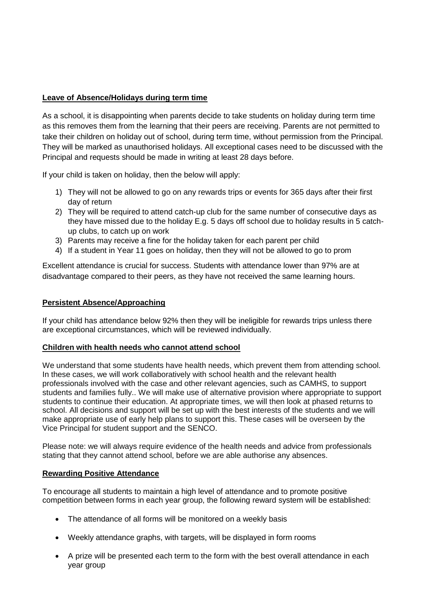# **Leave of Absence/Holidays during term time**

As a school, it is disappointing when parents decide to take students on holiday during term time as this removes them from the learning that their peers are receiving. Parents are not permitted to take their children on holiday out of school, during term time, without permission from the Principal. They will be marked as unauthorised holidays. All exceptional cases need to be discussed with the Principal and requests should be made in writing at least 28 days before.

If your child is taken on holiday, then the below will apply:

- 1) They will not be allowed to go on any rewards trips or events for 365 days after their first day of return
- 2) They will be required to attend catch-up club for the same number of consecutive days as they have missed due to the holiday E.g. 5 days off school due to holiday results in 5 catchup clubs, to catch up on work
- 3) Parents may receive a fine for the holiday taken for each parent per child
- 4) If a student in Year 11 goes on holiday, then they will not be allowed to go to prom

Excellent attendance is crucial for success. Students with attendance lower than 97% are at disadvantage compared to their peers, as they have not received the same learning hours.

# **Persistent Absence/Approaching**

If your child has attendance below 92% then they will be ineligible for rewards trips unless there are exceptional circumstances, which will be reviewed individually.

#### **Children with health needs who cannot attend school**

We understand that some students have health needs, which prevent them from attending school. In these cases, we will work collaboratively with school health and the relevant health professionals involved with the case and other relevant agencies, such as CAMHS, to support students and families fully.. We will make use of alternative provision where appropriate to support students to continue their education. At appropriate times, we will then look at phased returns to school. All decisions and support will be set up with the best interests of the students and we will make appropriate use of early help plans to support this. These cases will be overseen by the Vice Principal for student support and the SENCO.

Please note: we will always require evidence of the health needs and advice from professionals stating that they cannot attend school, before we are able authorise any absences.

# **Rewarding Positive Attendance**

To encourage all students to maintain a high level of attendance and to promote positive competition between forms in each year group, the following reward system will be established:

- The attendance of all forms will be monitored on a weekly basis
- Weekly attendance graphs, with targets, will be displayed in form rooms
- A prize will be presented each term to the form with the best overall attendance in each year group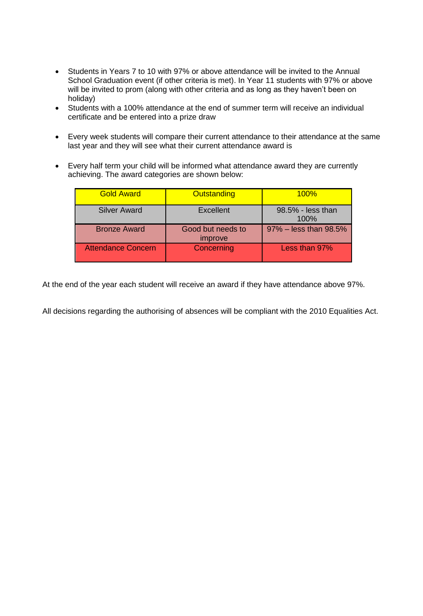- Students in Years 7 to 10 with 97% or above attendance will be invited to the Annual School Graduation event (if other criteria is met). In Year 11 students with 97% or above will be invited to prom (along with other criteria and as long as they haven't been on holiday)
- Students with a 100% attendance at the end of summer term will receive an individual certificate and be entered into a prize draw
- Every week students will compare their current attendance to their attendance at the same last year and they will see what their current attendance award is
- Every half term your child will be informed what attendance award they are currently achieving. The award categories are shown below:

| <b>Gold Award</b>         | <b>Outstanding</b>           | 100%                      |
|---------------------------|------------------------------|---------------------------|
| <b>Silver Award</b>       | <b>Excellent</b>             | 98.5% - less than<br>100% |
| <b>Bronze Award</b>       | Good but needs to<br>improve | 97% - less than 98.5%     |
| <b>Attendance Concern</b> | Concerning                   | Less than 97%             |

At the end of the year each student will receive an award if they have attendance above 97%.

All decisions regarding the authorising of absences will be compliant with the 2010 Equalities Act.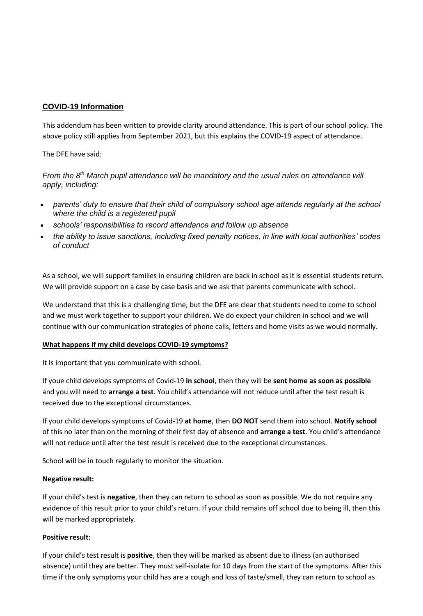# **COVID-19 Information**

This addendum has been written to provide clarity around attendance. This is part of our school policy. The above policy still applies from September 2021, but this explains the COVID-19 aspect of attendance.

The DFE have said:

From the 8<sup>th</sup> March pupil attendance will be mandatory and the usual rules on attendance will *apply, including:*

- *parents' duty to ensure that their child of compulsory school age attends regularly at the school where the child is a registered pupil*
- *schools' responsibilities to record attendance and follow up absence*
- *the ability to issue sanctions, including fixed penalty notices, in line with local authorities' codes of conduct*

As a school, we will support families in ensuring children are back in school as it is essential students return. We will provide support on a case by case basis and we ask that parents communicate with school.

We understand that this is a challenging time, but the DFE are clear that students need to come to school and we must work together to support your children. We do expect your children in school and we will continue with our communication strategies of phone calls, letters and home visits as we would normally.

#### **What happens if my child develops COVID-19 symptoms?**

It is important that you communicate with school.

If youe child develops symptoms of Covid-19 **in school**, then they will be **sent home as soon as possible** and you will need to **arrange a test**. You child's attendance will not reduce until after the test result is received due to the exceptional circumstances.

If your child develops symptoms of Covid-19 **at home**, then **DO NOT** send them into school. **Notify school** of this no later than on the morning of their first day of absence and **arrange a test**. You child's attendance will not reduce until after the test result is received due to the exceptional circumstances.

School will be in touch regularly to monitor the situation.

#### **Negative result:**

If your child's test is **negative**, then they can return to school as soon as possible. We do not require any evidence of this result prior to your child's return. If your child remains off school due to being ill, then this will be marked appropriately.

#### **Positive result:**

If your child's test result is **positive**, then they will be marked as absent due to illness (an authorised absence) until they are better. They must self-isolate for 10 days from the start of the symptoms. After this time if the only symptoms your child has are a cough and loss of taste/smell, they can return to school as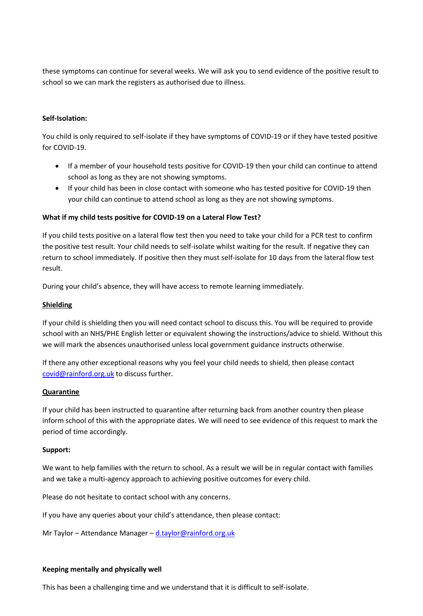these symptoms can continue for several weeks. We will ask you to send evidence of the positive result to school so we can mark the registers as authorised due to illness.

#### **Self-Isolation:**

You child is only required to self-isolate if they have symptoms of COVID-19 or if they have tested positive for COVID-19.

- If a member of your household tests positive for COVID-19 then your child can continue to attend school as long as they are not showing symptoms.
- If your child has been in close contact with someone who has tested positive for COVID-19 then your child can continue to attend school as long as they are not showing symptoms.

#### **What if my child tests positive for COVID-19 on a Lateral Flow Test?**

If you child tests positive on a lateral flow test then you need to take your child for a PCR test to confirm the positive test result. Your child needs to self-isolate whilst waiting for the result. If negative they can return to school immediately. If positive then they must self-isolate for 10 days from the lateral flow test result.

During your child's absence, they will have access to remote learning immediately.

#### **Shielding**

If your child is shielding then you will need contact school to discuss this. You will be required to provide school with an NHS/PHE English letter or equivalent showing the instructions/advice to shield. Without this we will mark the absences unauthorised unless local government guidance instructs otherwise.

If there any other exceptional reasons why you feel your child needs to shield, then please contact [covid@rainford.org.uk](mailto:covid@rainford.org.uk) to discuss further.

#### **Quarantine**

If your child has been instructed to quarantine after returning back from another country then please inform school of this with the appropriate dates. We will need to see evidence of this request to mark the period of time accordingly.

#### **Support:**

We want to help families with the return to school. As a result we will be in regular contact with families and we take a multi-agency approach to achieving positive outcomes for every child.

Please do not hesitate to contact school with any concerns.

If you have any queries about your child's attendance, then please contact:

Mr Taylor – Attendance Manager – [d.taylor@rainford.org.uk](mailto:d.taylor@rainford.org.uk)

#### **Keeping mentally and physically well**

This has been a challenging time and we understand that it is difficult to self-isolate.